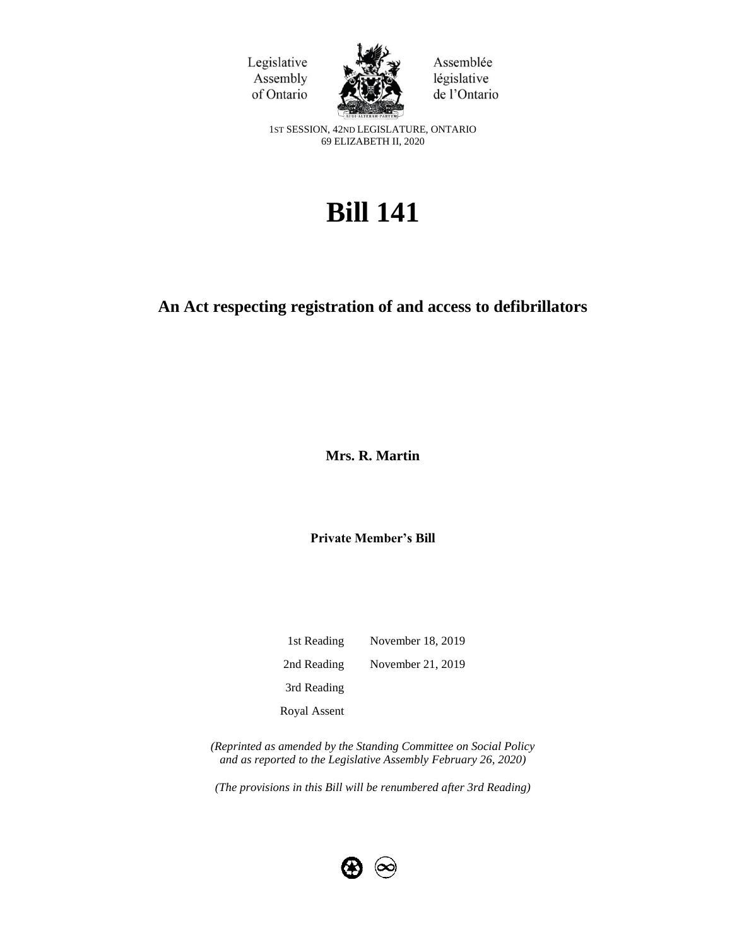



Assemblée législative de l'Ontario

1ST SESSION, 42ND LEGISLATURE, ONTARIO 69 ELIZABETH II, 2020

# **Bill 141**

# **An Act respecting registration of and access to defibrillators**

**Mrs. R. Martin** 

**Private Member's Bill**

1st Reading November 18, 2019 2nd Reading November 21, 2019 3rd Reading Royal Assent

*(Reprinted as amended by the Standing Committee on Social Policy and as reported to the Legislative Assembly February 26, 2020)*

*(The provisions in this Bill will be renumbered after 3rd Reading)*

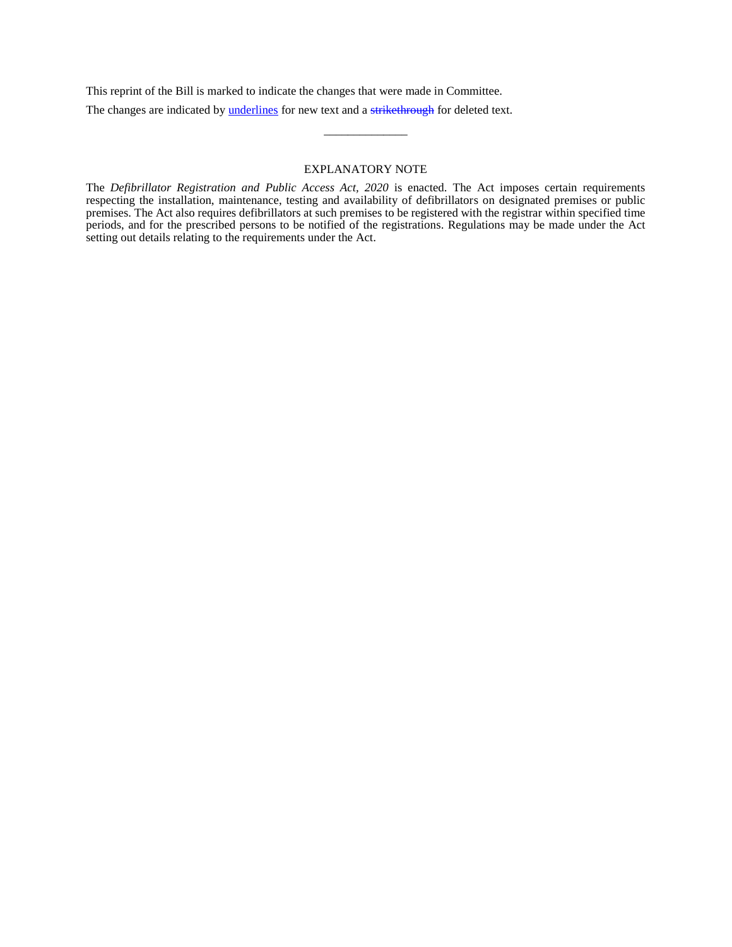This reprint of the Bill is marked to indicate the changes that were made in Committee.

The changes are indicated by **underlines** for new text and a strikethrough for deleted text.

### EXPLANATORY NOTE

\_\_\_\_\_\_\_\_\_\_\_\_\_\_

The *Defibrillator Registration and Public Access Act, 2020* is enacted. The Act imposes certain requirements respecting the installation, maintenance, testing and availability of defibrillators on designated premises or public premises. The Act also requires defibrillators at such premises to be registered with the registrar within specified time periods, and for the prescribed persons to be notified of the registrations. Regulations may be made under the Act setting out details relating to the requirements under the Act.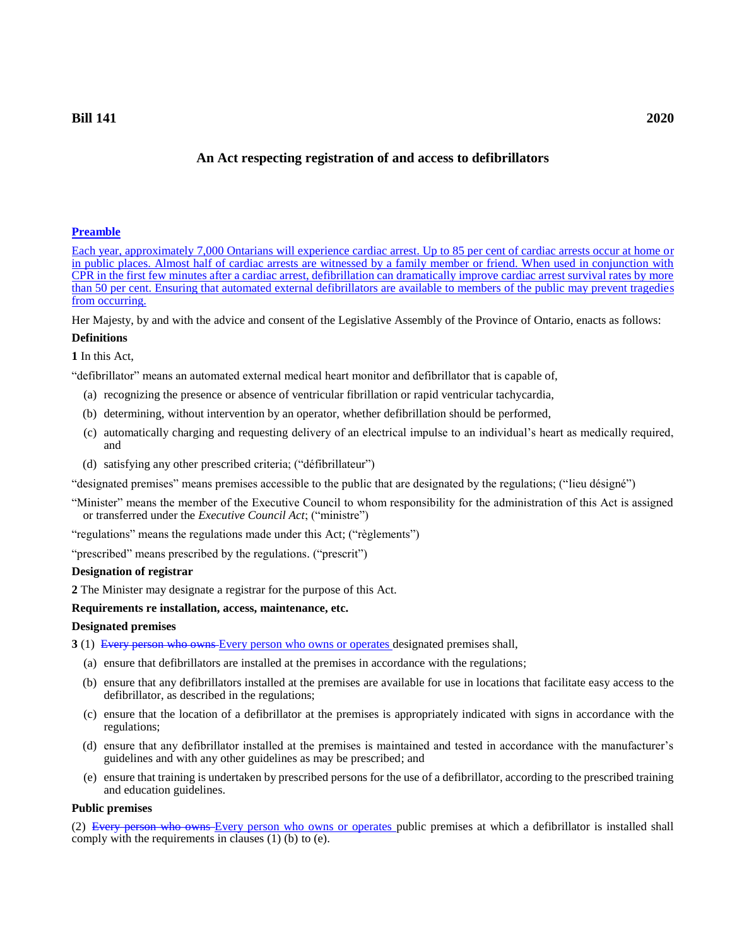# **An Act respecting registration of and access to defibrillators**

# **Preamble**

Each year, approximately 7,000 Ontarians will experience cardiac arrest. Up to 85 per cent of cardiac arrests occur at home or in public places. Almost half of cardiac arrests are witnessed by a family member or friend. When used in conjunction with CPR in the first few minutes after a cardiac arrest, defibrillation can dramatically improve cardiac arrest survival rates by more than 50 per cent. Ensuring that automated external defibrillators are available to members of the public may prevent tragedies from occurring.

Her Majesty, by and with the advice and consent of the Legislative Assembly of the Province of Ontario, enacts as follows:

# **Definitions**

# **1** In this Act,

"defibrillator" means an automated external medical heart monitor and defibrillator that is capable of,

- (a) recognizing the presence or absence of ventricular fibrillation or rapid ventricular tachycardia,
- (b) determining, without intervention by an operator, whether defibrillation should be performed,
- (c) automatically charging and requesting delivery of an electrical impulse to an individual's heart as medically required, and
- (d) satisfying any other prescribed criteria; ("défibrillateur")

"designated premises" means premises accessible to the public that are designated by the regulations; ("lieu désigné")

"Minister" means the member of the Executive Council to whom responsibility for the administration of this Act is assigned or transferred under the *Executive Council Act*; ("ministre")

"regulations" means the regulations made under this Act; ("règlements")

"prescribed" means prescribed by the regulations. ("prescrit")

# **Designation of registrar**

**2** The Minister may designate a registrar for the purpose of this Act.

# **Requirements re installation, access, maintenance, etc.**

# **Designated premises**

- **3** (1) Every person who owns Every person who owns or operates designated premises shall,
	- (a) ensure that defibrillators are installed at the premises in accordance with the regulations;
	- (b) ensure that any defibrillators installed at the premises are available for use in locations that facilitate easy access to the defibrillator, as described in the regulations;
	- (c) ensure that the location of a defibrillator at the premises is appropriately indicated with signs in accordance with the regulations;
	- (d) ensure that any defibrillator installed at the premises is maintained and tested in accordance with the manufacturer's guidelines and with any other guidelines as may be prescribed; and
	- (e) ensure that training is undertaken by prescribed persons for the use of a defibrillator, according to the prescribed training and education guidelines.

# **Public premises**

(2) Every person who owns Every person who owns or operates public premises at which a defibrillator is installed shall comply with the requirements in clauses (1) (b) to (e).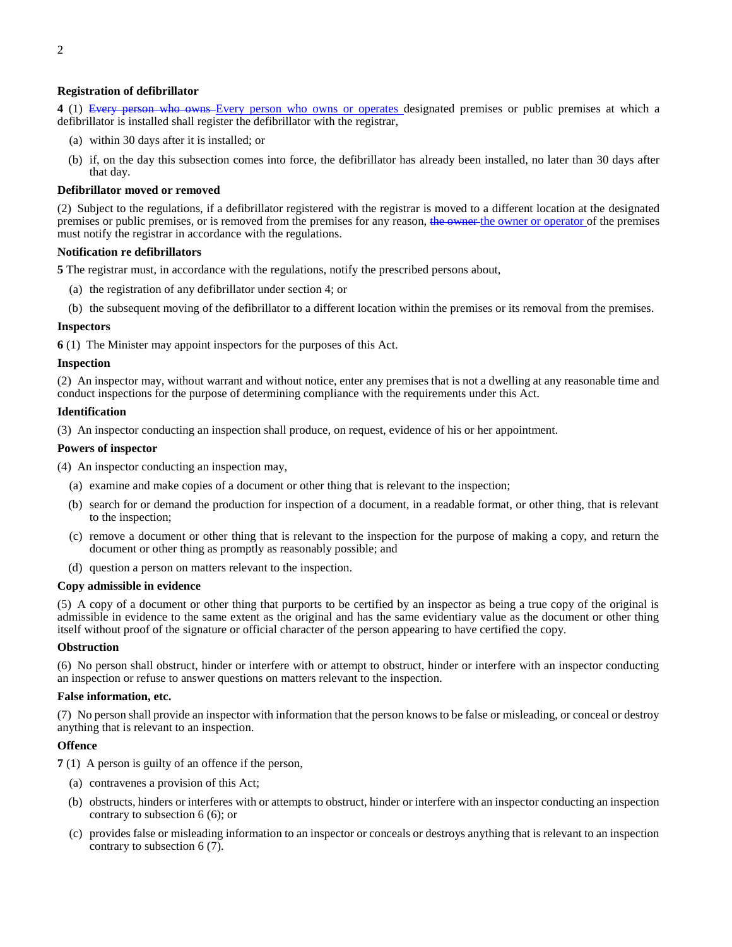# **Registration of defibrillator**

**4** (1) Every person who owns Every person who owns or operates designated premises or public premises at which a defibrillator is installed shall register the defibrillator with the registrar,

- (a) within 30 days after it is installed; or
- (b) if, on the day this subsection comes into force, the defibrillator has already been installed, no later than 30 days after that day.

#### **Defibrillator moved or removed**

(2) Subject to the regulations, if a defibrillator registered with the registrar is moved to a different location at the designated premises or public premises, or is removed from the premises for any reason, the owner the owner or operator of the premises must notify the registrar in accordance with the regulations.

#### **Notification re defibrillators**

**5** The registrar must, in accordance with the regulations, notify the prescribed persons about,

- (a) the registration of any defibrillator under section 4; or
- (b) the subsequent moving of the defibrillator to a different location within the premises or its removal from the premises.

#### **Inspectors**

**6** (1) The Minister may appoint inspectors for the purposes of this Act.

#### **Inspection**

(2) An inspector may, without warrant and without notice, enter any premises that is not a dwelling at any reasonable time and conduct inspections for the purpose of determining compliance with the requirements under this Act.

#### **Identification**

(3) An inspector conducting an inspection shall produce, on request, evidence of his or her appointment.

#### **Powers of inspector**

- (4) An inspector conducting an inspection may,
	- (a) examine and make copies of a document or other thing that is relevant to the inspection;
	- (b) search for or demand the production for inspection of a document, in a readable format, or other thing, that is relevant to the inspection;
	- (c) remove a document or other thing that is relevant to the inspection for the purpose of making a copy, and return the document or other thing as promptly as reasonably possible; and
	- (d) question a person on matters relevant to the inspection.

#### **Copy admissible in evidence**

(5) A copy of a document or other thing that purports to be certified by an inspector as being a true copy of the original is admissible in evidence to the same extent as the original and has the same evidentiary value as the document or other thing itself without proof of the signature or official character of the person appearing to have certified the copy.

#### **Obstruction**

(6) No person shall obstruct, hinder or interfere with or attempt to obstruct, hinder or interfere with an inspector conducting an inspection or refuse to answer questions on matters relevant to the inspection.

#### **False information, etc.**

(7) No person shall provide an inspector with information that the person knows to be false or misleading, or conceal or destroy anything that is relevant to an inspection.

# **Offence**

**7** (1) A person is guilty of an offence if the person,

- (a) contravenes a provision of this Act;
- (b) obstructs, hinders or interferes with or attempts to obstruct, hinder or interfere with an inspector conducting an inspection contrary to subsection 6 (6); or
- (c) provides false or misleading information to an inspector or conceals or destroys anything that is relevant to an inspection contrary to subsection 6 (7).